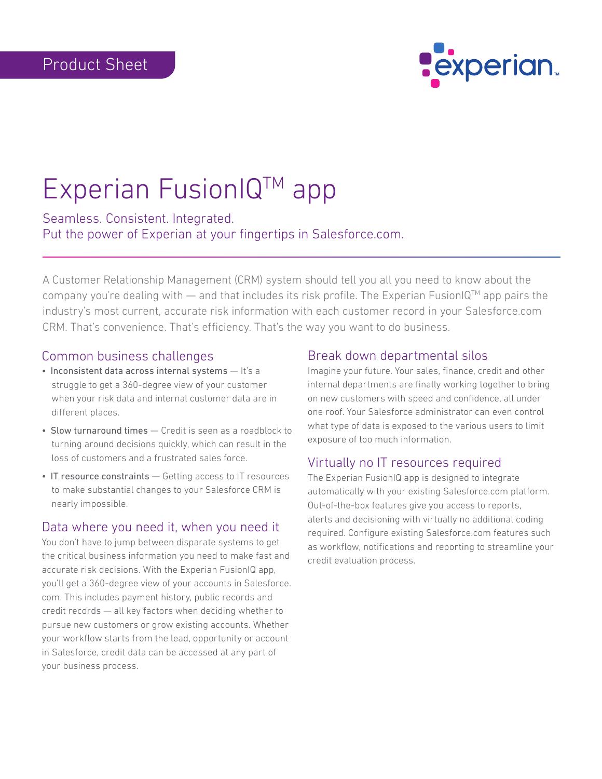

# Experian FusionIQ™ app

Seamless. Consistent. Integrated. Put the power of Experian at your fingertips in Salesforce.com.

A Customer Relationship Management (CRM) system should tell you all you need to know about the company you're dealing with — and that includes its risk profile. The Experian FusionIQ™ app pairs the industry's most current, accurate risk information with each customer record in your Salesforce.com CRM. That's convenience. That's efficiency. That's the way you want to do business.

#### Common business challenges

- Inconsistent data across internal systems It's a struggle to get a 360-degree view of your customer when your risk data and internal customer data are in different places.
- Slow turnaround times Credit is seen as a roadblock to turning around decisions quickly, which can result in the loss of customers and a frustrated sales force.
- IT resource constraints Getting access to IT resources to make substantial changes to your Salesforce CRM is nearly impossible.

#### Data where you need it, when you need it

You don't have to jump between disparate systems to get the critical business information you need to make fast and accurate risk decisions. With the Experian FusionIQ app, you'll get a 360-degree view of your accounts in Salesforce. com. This includes payment history, public records and credit records — all key factors when deciding whether to pursue new customers or grow existing accounts. Whether your workflow starts from the lead, opportunity or account in Salesforce, credit data can be accessed at any part of your business process.

#### Break down departmental silos

Imagine your future. Your sales, finance, credit and other internal departments are finally working together to bring on new customers with speed and confidence, all under one roof. Your Salesforce administrator can even control what type of data is exposed to the various users to limit exposure of too much information.

### Virtually no IT resources required

The Experian FusionIQ app is designed to integrate automatically with your existing Salesforce.com platform. Out-of-the-box features give you access to reports, alerts and decisioning with virtually no additional coding required. Configure existing Salesforce.com features such as workflow, notifications and reporting to streamline your credit evaluation process.